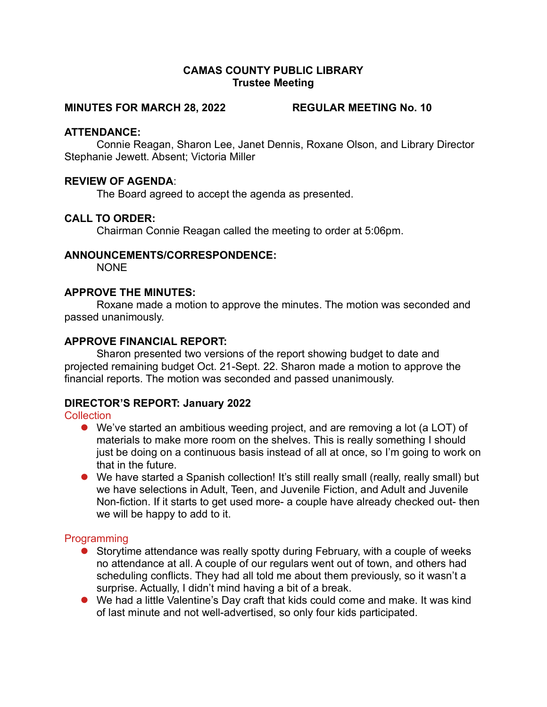## CAMAS COUNTY PUBLIC LIBRARY Trustee Meeting

#### MINUTES FOR MARCH 28, 2022 REGULAR MEETING No. 10

## ATTENDANCE:

Connie Reagan, Sharon Lee, Janet Dennis, Roxane Olson, and Library Director Stephanie Jewett. Absent; Victoria Miller

## REVIEW OF AGENDA:

The Board agreed to accept the agenda as presented.

## CALL TO ORDER:

Chairman Connie Reagan called the meeting to order at 5:06pm.

### ANNOUNCEMENTS/CORRESPONDENCE:

**NONE** 

### APPROVE THE MINUTES:

Roxane made a motion to approve the minutes. The motion was seconded and passed unanimously.

### APPROVE FINANCIAL REPORT:

Sharon presented two versions of the report showing budget to date and projected remaining budget Oct. 21-Sept. 22. Sharon made a motion to approve the financial reports. The motion was seconded and passed unanimously.

## DIRECTOR'S REPORT: January 2022

### **Collection**

- We've started an ambitious weeding project, and are removing a lot (a LOT) of materials to make more room on the shelves. This is really something I should just be doing on a continuous basis instead of all at once, so I'm going to work on that in the future.
- We have started a Spanish collection! It's still really small (really, really small) but we have selections in Adult, Teen, and Juvenile Fiction, and Adult and Juvenile Non-fiction. If it starts to get used more- a couple have already checked out- then we will be happy to add to it.

### Programming

- Storytime attendance was really spotty during February, with a couple of weeks no attendance at all. A couple of our regulars went out of town, and others had scheduling conflicts. They had all told me about them previously, so it wasn't a surprise. Actually, I didn't mind having a bit of a break.
- We had a little Valentine's Day craft that kids could come and make. It was kind of last minute and not well-advertised, so only four kids participated.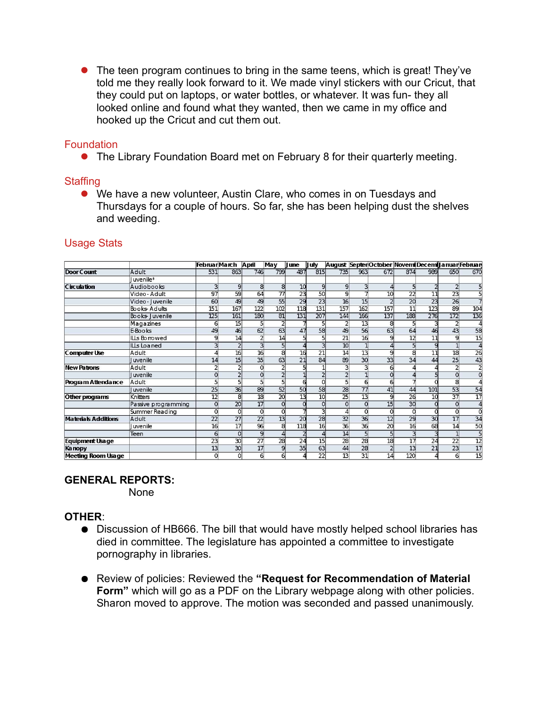• The teen program continues to bring in the same teens, which is great! They've told me they really look forward to it. We made vinyl stickers with our Cricut, that they could put on laptops, or water bottles, or whatever. It was fun- they all looked online and found what they wanted, then we came in my office and hooked up the Cricut and cut them out.

## **Foundation**

The Library Foundation Board met on February 8 for their quarterly meeting.

### **Staffing**

 We have a new volunteer, Austin Clare, who comes in on Tuesdays and Thursdays for a couple of hours. So far, she has been helping dust the shelves and weeding.

|                            |                     | Februar March |                 | April                    | May      | ll une          | uly             |                 |                | August Septer October Novem Decem Januar February |                         |                 |                 |                 |
|----------------------------|---------------------|---------------|-----------------|--------------------------|----------|-----------------|-----------------|-----------------|----------------|---------------------------------------------------|-------------------------|-----------------|-----------------|-----------------|
| Door Count                 | Adult               | 531           | 863             | 746                      | 799      | 487             | 815             | 735             | 963            | 672                                               | 874                     | 989             | 650             | 670             |
|                            | uvenile*            |               |                 |                          |          |                 |                 |                 |                |                                                   |                         |                 |                 |                 |
| <b>Circulation</b>         | Audiobooks          | 3             | 9               | 8                        | 8        | 10              | 9               | 9               | 3              | 4                                                 | 5                       |                 | $\overline{a}$  |                 |
|                            | Video - Adult       | 97            | 59              | 64                       | 77       | $\overline{23}$ | 50              | 9               |                | 10                                                | $\overline{22}$         | 11              | $\overline{23}$ | 5               |
|                            | Video - Juvenile    | 60            | 49              | 49                       | 55       | 29              | 23              | 16              | 15             |                                                   | 20                      | 23              | 26              |                 |
|                            | Books Adults        | 151           | 167             | 122                      | 102      | 118             | 131             | 157             | 162            | 157                                               | 11                      | 123             | 89              | 104             |
|                            | Books   uvenile     | 125           | 161             | 180                      | 81       | 131             | 207             | 144             | 166            | 137                                               | 188                     | 276             | 172             | 136             |
|                            | Magazines           | 6             | 15              |                          |          |                 |                 | $\overline{2}$  | 13             | 8                                                 | 5                       |                 |                 |                 |
|                            | E-Books             | 49            | 46              | 62                       | 63       | 47              | 58              | 49              | 56             | 63                                                | 64                      | 46              | 43              | 58              |
|                            | ILLs Borrowed       | q             | 14              |                          | 14       |                 | 5               | $\overline{21}$ | 16             | $\overline{9}$                                    | $\overline{12}$         | $\overline{11}$ | 9               | $\overline{15}$ |
|                            | oa ned عللا         |               |                 |                          |          |                 | 3               | 10              | $\overline{1}$ |                                                   | 5                       | q               |                 |                 |
| Computer Use               | Adult               |               | 16              | 16                       | 8        | 16              | 21              | $\overline{14}$ | 13             | 9                                                 | 8                       | 11              | 18              | 26              |
|                            | l uvenile           | 14            | 15              | 35                       | 63       | 21              | 84              | 89              | 30             | 33                                                | 34                      | 44              | 25              | 43              |
| <b>New Patrons</b>         | Adult               |               |                 |                          |          |                 |                 | 3               | з              | 6                                                 | 4                       |                 | $\overline{2}$  |                 |
|                            | l uvenile           |               |                 |                          |          |                 |                 | 2               |                | 0                                                 |                         |                 | $\circ$         |                 |
| Program Attendance         | Adult               |               |                 |                          |          |                 |                 | 5               | 6              | 6                                                 |                         |                 | 8               |                 |
|                            | luvenile            | 25            | 36              | 89                       | 52       | 50              | 58              | 28              | 77             | 41                                                | 44                      | 101             | 53              | 54              |
| Other programs             | Knitters            | 12            | 8               | 18                       | 20       | 13              | 10              | 25              | 13             | 9                                                 | 26                      | 10              | 37              | $\overline{17}$ |
|                            | Passive programming |               | 20              | 17                       | $\Omega$ |                 | 0               | 0               | $\Omega$       | 15                                                | 30                      |                 | 0               | Δ               |
|                            | Summer Reading      | 0             |                 | $\Omega$                 |          |                 | 3               | 4               | $\Omega$       | 0                                                 | $\Omega$                |                 | 0               | $\overline{0}$  |
| <b>Materials Additions</b> | <b>Adult</b>        | 22            | 27              | 22                       | 13       | 20              | 28              | $\overline{32}$ | 36             | 12                                                | 29                      | 30              | 17              | $\overline{34}$ |
|                            | uvenile             | 16            | $\overline{17}$ | $\overline{\mathcal{L}}$ | 8        | 118             | $\overline{16}$ | 36              | 36             | $\overline{20}$                                   | $\overline{16}$         | 68              | $\overline{14}$ | 50              |
|                            | Teen                | $6 \mid$      | $\Omega$        | 9                        |          |                 | 4               | 14              | 5 <sub>1</sub> | 5                                                 | $\overline{\mathbf{3}}$ | З               |                 | 5               |
| Equipment Usage            |                     | 23            | 30              | 27                       | 28       | 24              | 15              | 28              | 28             | 18                                                | $\overline{17}$         | 24              | 22              | $\overline{12}$ |
| <b>Kanopy</b>              |                     | 13            | 30              | 17                       | 9        | 35              | 63              | 44              | 28             | $\overline{a}$                                    | 13                      | 21              | 23              | $\overline{17}$ |
| Meeting Room Usage         |                     | 0             | $\Omega$        | 6                        | 6        |                 | 22              | 13              | 31             | 14                                                | 120                     |                 | 6               | $\overline{15}$ |

# Usage Stats

## GENERAL REPORTS:

None

## OTHER:

- Discussion of HB666. The bill that would have mostly helped school libraries has died in committee. The legislature has appointed a committee to investigate pornography in libraries.
- Review of policies: Reviewed the "Request for Recommendation of Material Form" which will go as a PDF on the Library webpage along with other policies. Sharon moved to approve. The motion was seconded and passed unanimously.